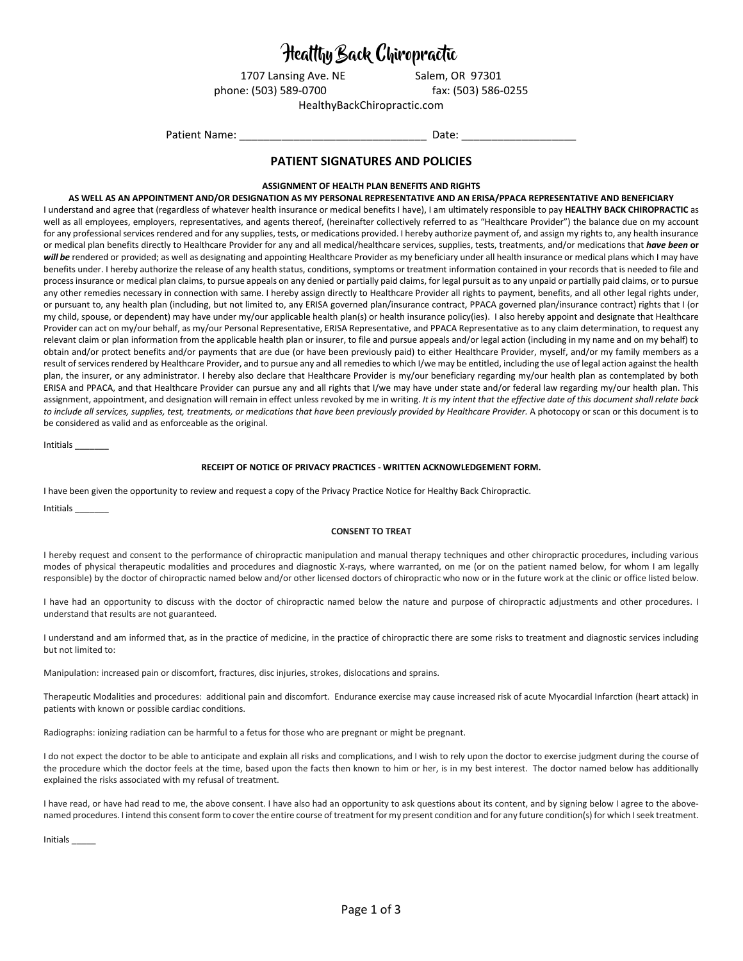# Healthy Back Chiropractic

1707 Lansing Ave. NE Salem, OR 97301 phone: (503) 589-0700 fax: (503) 586-0255

HealthyBackChiropractic.com

Patient Name: The Contract of the Contract of Date:

## **PATIENT SIGNATURES AND POLICIES**

### **ASSIGNMENT OF HEALTH PLAN BENEFITS AND RIGHTS**

#### **AS WELL AS AN APPOINTMENT AND/OR DESIGNATION AS MY PERSONAL REPRESENTATIVE AND AN ERISA/PPACA REPRESENTATIVE AND BENEFICIARY**

I understand and agree that (regardless of whatever health insurance or medical benefits I have), I am ultimately responsible to pay **HEALTHY BACK CHIROPRACTIC** as well as all employees, employers, representatives, and agents thereof, (hereinafter collectively referred to as "Healthcare Provider") the balance due on my account for any professional services rendered and for any supplies, tests, or medications provided. I hereby authorize payment of, and assign my rights to, any health insurance or medical plan benefits directly to Healthcare Provider for any and all medical/healthcare services, supplies, tests, treatments, and/or medications that *have been* **or**  will be rendered or provided; as well as designating and appointing Healthcare Provider as my beneficiary under all health insurance or medical plans which I may have benefits under. I hereby authorize the release of any health status, conditions, symptoms or treatment information contained in your records that is needed to file and process insurance or medical plan claims, to pursue appeals on any denied or partially paid claims, for legal pursuit as to any unpaid or partially paid claims, or to pursue any other remedies necessary in connection with same. I hereby assign directly to Healthcare Provider all rights to payment, benefits, and all other legal rights under, or pursuant to, any health plan (including, but not limited to, any ERISA governed plan/insurance contract, PPACA governed plan/insurance contract) rights that I (or my child, spouse, or dependent) may have under my/our applicable health plan(s) or health insurance policy(ies). I also hereby appoint and designate that Healthcare Provider can act on my/our behalf, as my/our Personal Representative, ERISA Representative, and PPACA Representative as to any claim determination, to request any relevant claim or plan information from the applicable health plan or insurer, to file and pursue appeals and/or legal action (including in my name and on my behalf) to obtain and/or protect benefits and/or payments that are due (or have been previously paid) to either Healthcare Provider, myself, and/or my family members as a result of services rendered by Healthcare Provider, and to pursue any and all remedies to which I/we may be entitled, including the use of legal action against the health plan, the insurer, or any administrator. I hereby also declare that Healthcare Provider is my/our beneficiary regarding my/our health plan as contemplated by both ERISA and PPACA, and that Healthcare Provider can pursue any and all rights that I/we may have under state and/or federal law regarding my/our health plan. This assignment, appointment, and designation will remain in effect unless revoked by me in writing. *It is my intent that the effective date of this document shall relate back to include all services, supplies, test, treatments, or medications that have been previously provided by Healthcare Provider.* A photocopy or scan or this document is to be considered as valid and as enforceable as the original.

Intitials \_\_\_\_\_\_\_

#### **RECEIPT OF NOTICE OF PRIVACY PRACTICES - WRITTEN ACKNOWLEDGEMENT FORM.**

I have been given the opportunity to review and request a copy of the Privacy Practice Notice for Healthy Back Chiropractic.

Intitials \_\_\_\_\_\_\_

#### **CONSENT TO TREAT**

I hereby request and consent to the performance of chiropractic manipulation and manual therapy techniques and other chiropractic procedures, including various modes of physical therapeutic modalities and procedures and diagnostic X-rays, where warranted, on me (or on the patient named below, for whom I am legally responsible) by the doctor of chiropractic named below and/or other licensed doctors of chiropractic who now or in the future work at the clinic or office listed below.

I have had an opportunity to discuss with the doctor of chiropractic named below the nature and purpose of chiropractic adjustments and other procedures. I understand that results are not guaranteed.

I understand and am informed that, as in the practice of medicine, in the practice of chiropractic there are some risks to treatment and diagnostic services including but not limited to:

Manipulation: increased pain or discomfort, fractures, disc injuries, strokes, dislocations and sprains.

Therapeutic Modalities and procedures: additional pain and discomfort. Endurance exercise may cause increased risk of acute Myocardial Infarction (heart attack) in patients with known or possible cardiac conditions.

Radiographs: ionizing radiation can be harmful to a fetus for those who are pregnant or might be pregnant.

I do not expect the doctor to be able to anticipate and explain all risks and complications, and I wish to rely upon the doctor to exercise judgment during the course of the procedure which the doctor feels at the time, based upon the facts then known to him or her, is in my best interest. The doctor named below has additionally explained the risks associated with my refusal of treatment.

I have read, or have had read to me, the above consent. I have also had an opportunity to ask questions about its content, and by signing below I agree to the abovenamed procedures. I intend this consent form to cover the entire course of treatment for my present condition and for any future condition(s) for which I seek treatment.

Initials \_\_\_\_\_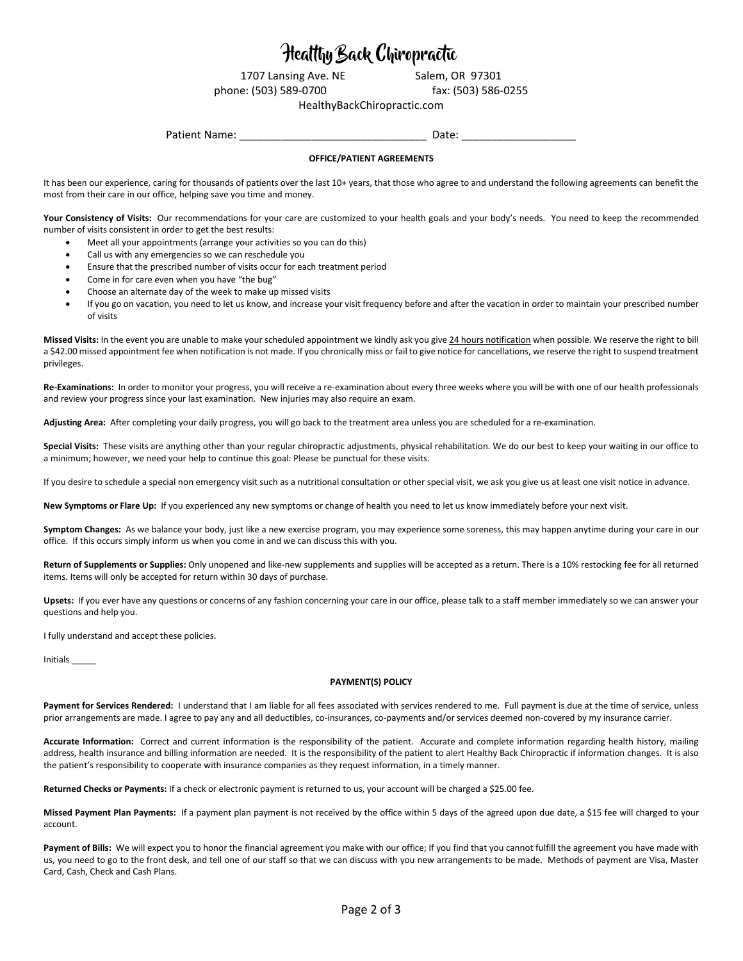## Healthy Back Chiropractic

1707 Lansing Ave. NE Salem, OR 97301

phone: (503) 589-0700 fax: (503) 586-0255

HealthyBackChiropractic.com

Patient Name: The Contract of the Contract of Date:

### **OFFICE/PATIENT AGREEMENTS**

It has been our experience, caring for thousands of patients over the last 10+ years, that those who agree to and understand the following agreements can benefit the most from their care in our office, helping save you time and money.

Your Consistency of Visits: Our recommendations for your care are customized to your health goals and your body's needs. You need to keep the recommended number of visits consistent in order to get the best results:

- Meet all your appointments (arrange your activities so you can do this)
- Call us with any emergencies so we can reschedule you
- Ensure that the prescribed number of visits occur for each treatment period
- Come in for care even when you have "the bug"
- Choose an alternate day of the week to make up missed visits
- If you go on vacation, you need to let us know, and increase your visit frequency before and after the vacation in order to maintain your prescribed number of visits

**Missed Visits:** In the event you are unable to make your scheduled appointment we kindly ask you give 24 hours notification when possible. We reserve the right to bill a \$42.00 missed appointment fee when notification is not made. If you chronically miss or fail to give notice for cancellations, we reserve the right to suspend treatment privileges.

**Re-Examinations:** In order to monitor your progress, you will receive a re-examination about every three weeks where you will be with one of our health professionals and review your progress since your last examination. New injuries may also require an exam.

**Adjusting Area:** After completing your daily progress, you will go back to the treatment area unless you are scheduled for a re-examination.

**Special Visits:** These visits are anything other than your regular chiropractic adjustments, physical rehabilitation. We do our best to keep your waiting in our office to a minimum; however, we need your help to continue this goal: Please be punctual for these visits.

If you desire to schedule a special non emergency visit such as a nutritional consultation or other special visit, we ask you give us at least one visit notice in advance.

**New Symptoms or Flare Up:** If you experienced any new symptoms or change of health you need to let us know immediately before your next visit.

**Symptom Changes:** As we balance your body, just like a new exercise program, you may experience some soreness, this may happen anytime during your care in our office. If this occurs simply inform us when you come in and we can discuss this with you.

Return of Supplements or Supplies: Only unopened and like-new supplements and supplies will be accepted as a return. There is a 10% restocking fee for all returned items. Items will only be accepted for return within 30 days of purchase.

**Upsets:** If you ever have any questions or concerns of any fashion concerning your care in our office, please talk to a staff member immediately so we can answer your questions and help you.

I fully understand and accept these policies.

Initials \_\_\_\_\_

#### **PAYMENT(S) POLICY**

Payment for Services Rendered: I understand that I am liable for all fees associated with services rendered to me. Full payment is due at the time of service, unless prior arrangements are made. I agree to pay any and all deductibles, co-insurances, co-payments and/or services deemed non-covered by my insurance carrier.

**Accurate Information:** Correct and current information is the responsibility of the patient. Accurate and complete information regarding health history, mailing address, health insurance and billing information are needed. It is the responsibility of the patient to alert Healthy Back Chiropractic if information changes. It is also the patient's responsibility to cooperate with insurance companies as they request information, in a timely manner.

**Returned Checks or Payments:** If a check or electronic payment is returned to us, your account will be charged a \$25.00 fee.

**Missed Payment Plan Payments:** If a payment plan payment is not received by the office within 5 days of the agreed upon due date, a \$15 fee will charged to your account.

Payment of Bills: We will expect you to honor the financial agreement you make with our office; If you find that you cannot fulfill the agreement you have made with us, you need to go to the front desk, and tell one of our staff so that we can discuss with you new arrangements to be made. Methods of payment are Visa, Master Card, Cash, Check and Cash Plans.